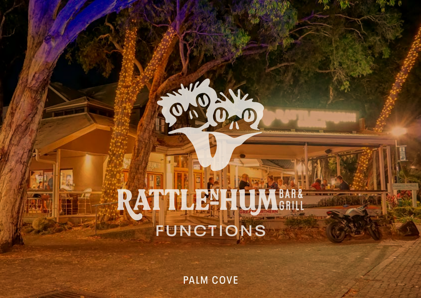# CHONE

# RATTLEHIUMBAR& **FUNCTIONS**

**PALM COVE**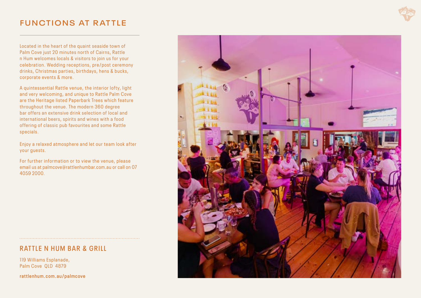# **FUNCTIONS AT RATTLE**

Located in the heart of the quaint seaside town of Palm Cove just 20 minutes north of Cairns, Rattle n Hum welc omes lo cals & visitors to join us for your celebration. Wedding receptions, pre/post ceremony drinks, Christmas parties, birthdays, hens & bucks, corporate events & more.

A quintessential Rattle venue, the interior lofty, light and very welcoming, and unique to Rattle Palm Cove are the Heritage listed Paperbark Trees which feature throughout the venue. The modern 360 degree bar offers an extensive drink selection of local and international beers, spirits and wines with a food offering of classic pub favourites and some Rattle specials.

Enjoy a relaxed atmosphere and let our team look after your guests.

For further information or to view the venue, please email us at palmcove@rattlenhumbar.com.au or call on 07 4059 2000.

# **RATTLE N HUM BAR & GRILL**

119 Williams Esplanade, Palm Cove QLD 4879

**rattlenhum.com.au/palmcove**

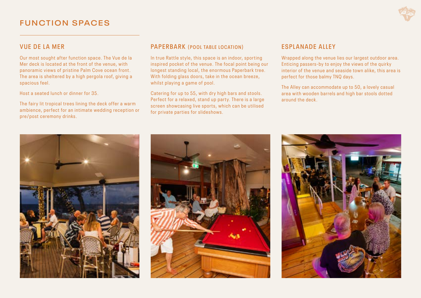# **VUE DE LA MER**

Our most sought after function space. The Vue de la Mer deck is located at the front of the venue, with panoramic views of pristine Palm Cove ocean front. The area is sheltered by a high pergola roof, giving a spacious feel.

Host a seated lunch or dinner for 35.

The fairy lit tropical trees lining the deck offer a warm ambience, perfect for an intimate wedding reception or pre/post ceremony drinks.

# **PAPERBARK (POOL TABLE LOCATION)**

In true Rattle style, this space is an indoor, sporting inspired pocket of the venue. The focal point being our longest standing local, the enormous Paperbark tree. With folding glass doors, take in the ocean breeze, whilst plaving a game of pool.

Catering for up to 55, with dry high bars and stools. Perfect for a relaxed, stand up party. There is a large screen showcasing live sports, which can be utilised for private parties for slideshows.

# **ESPLANADE ALLEY**

Wrapped along the venue lies our largest outdoor area. Enticing passers-by to enjoy the views of the quirky interior of the venue and seaside town alike, this area is perfect for those balmy TNQ days.

The Alley can accommodate up to 50, a lovely casual area with wooden barrels and high bar stools dotted around the deck.



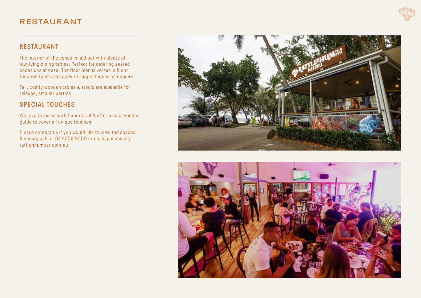# **RESTAUR ANT**

# **RESTAURANT**

The interior of the venue is laid out with plenty of low-lying dining tables. Perfect for catering seated occasions at ease. The floor plan is versatile & our function team are happy to suggest ideas on enquiry.

Tall, comfy wooden tables & stools are available for relaxed, smaller parties.

# **SPECIAL TOUCHES**

We love to assist with finer detail & offer a local vendor guide to cover all unique touches.

Please contact us if you would like to view the spaces & venue, call on 07 4059 2000 or email palmcove@ rattlenhumbar.com.au.



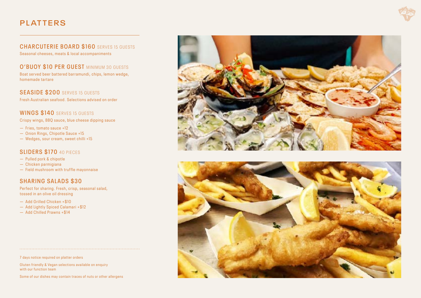# **PLATTERS**



#### **CHARCUTERIE BOARD \$160** SERVES 15 GUESTS Seasonal cheeses, meats & local accompaniments

**O'BUOY \$10 PER GUEST MINIMUM 30 GUESTS** Boat served beer battered barramundi, chips, lemon wedge, homemade tartare

**SEASIDE \$200** SERVES 15 GUESTS Fresh Australian seafood. Selections advised on order

# **WINGS \$140** SERVES 15 GUESTS

Crispy wings, BBQ sauce, blue cheese dipping sauce

- Fries, tomato sauce +12
- Onion Rings, Chipotle Sauce +15
- Wedges, sour cream, sweet chilli +15

# **SLIDERS \$170** 40 PIECES

- Pulled pork & chipotle
- Chicken parmigiana
- Field mushroom with truffle mayonnaise

# **SHARING SALADS \$30**

Perfect for sharing. Fresh, crisp, seasonal salad, tossed in an olive oil dressing

- Add Grilled Chicken +\$10
- Add Lightly Spiced Calamari +\$12
- Add Chilled Prawns +\$14

7 days notice required on platter orders

Gluten friendly & Vegan selections available on enquiry with our function team

Some of our dishes may contain traces of nuts or other allergens



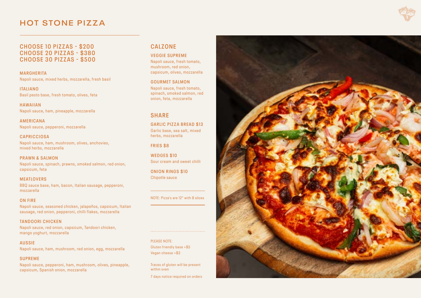# **HOT STONE PIZZA**

**CHOOSE 10 PIZZAS - \$200 CHOOSE 20 PIZZAS - \$380 CHOOSE 30 PIZZAS - \$500**

**MARGHERITA** Napoli sauce, mixed herbs, mozzarella, fresh basil

**ITALIANO** Basil pesto base, fresh tomato, olives, feta

**HAWAIIAN** Napoli sauce, ham, pineapple, mozzarella

**AMERICANA** Napoli sauce, pepperoni, mozzarella

**CAPRICCIOSA** Napoli sauce, ham, mushroom, olives, anchovies, mixed herbs, mozzarella

**PRAWN & SALMON** Napoli sauce, spinach, prawns, smoked salmon, red onion, capsicum, feta

**MEATLOVERS** BBQ sauce base, ham, bacon, Italian sausage, pepperoni, mozzarella

#### **ON FIRE**

Napoli sauce, seasoned chicken, jalapeños, capsicum, Italian sausage, red onion, pepperoni, chilli flakes, mozzarella

**TANDOORI CHICKEN** Napoli sauce, red onion, capsicum, Tandoori chicken, mango yoghurt, mozzarella

**AUSSIE** Napoli sauce, ham, mushroom, red onion, egg, mozzarella

#### **SUPREME**

Napoli sauce, pepperoni, ham, mushroom, olives, pineapple, capsicum, Spanish onion, mozzarella

# **CALZONE**

**VEGGIE SUPREME** Napoli sauce, fresh tomato, mushroom, red onion, capsicum, olives, mozzarella

**GOURMET SALMON** Napoli sauce, fresh tomato, spinach, smoked salmon, red onion, feta, mozzarella

### **SHARE**

**GARLIC PIZZA BREAD \$13** Garlic base, sea salt, mixed herbs, mozzarella

**FRIES \$8**

**WEDGES \$10** Sour cream and sweet chilli

**ONION RINGS \$10** Chipotle sauce

NOTE: Pizza's are 12" with 8 slices

PLEASE NOTE: Gluten friendly base +\$5 Vegan cheese +\$3

Traces of gluten will be present within oven

7 days notice required on orders

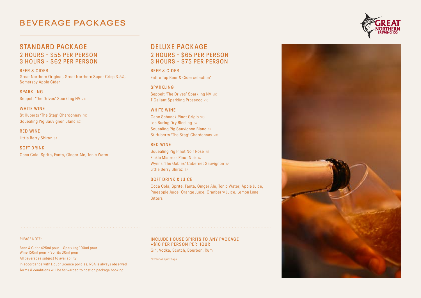# **BEVER AGE PACK AGES**



## **STANDARD PACKAGE 2 HOURS - \$55 PER PERSON**

# **3 HOURS - \$62 PER PERSON**

**BEER & CIDER** Great Northern Original, Great Northern Super Crisp 3.5%, Somersby Apple Cider

**SPARKLING** Seppelt 'The Drives' Sparkling NV VIC

**WHITE WINE** St Huberts 'The Stag' Chardonnay VIC Squealing Pig Sauvignon Blanc NZ

**RED WINE** Little Berry Shiraz SA

**SOFT DRINK** Coca Cola, Sprite, Fanta, Ginger Ale, Tonic Water

# **DELUXE PACKAGE 2 HOURS - \$65 PER PERSON 3 HOURS - \$75 PER PERSON**

**BEER & CIDER** Entire Tap Beer & Cider selection\*

#### **S PA R K L I N G**

Seppelt 'The Drives' Sparkling NV vic T'Gallant Sparkling Prosecco VIC

#### **WHITE WINE**

Cape Schanck Pinot Grigio VIC Leo Buring Dry Riesling SA Squealing Pig Sauvignon Blanc NZ St Huberts 'The Stag' Chardonnay VIC

#### **RED WINE**

Squealing Pig Pinot Noir Rose NZ Fickle Mistress Pinot Noir NZ Wynns 'The Gables' Cabernet Sauvignon SA Little Berry Shiraz SA

#### **SOFT DRINK & JUICE**

Coca Cola, Sprite, Fanta, Ginger Ale, Tonic Water, Apple Juice, Pineapple Juice, Orange Juice, Cranberry Juice, Lemon Lime **Bitters** 

PLEASE NOTE:

Beer & Cider 425ml pour - Sparkling 100ml pour Wine 150ml pour - Spirits 30ml pour All beverages subject to availability

In accordance with Liquor Licence policies, RSA is always observed

Terms & conditions will be forwarded to host on package booking

#### **INCLUDE HOUSE SPIRITS TO ANY PACKAGE +\$10 PER PERSON PER HOUR**

Gin, Vodka, Scotch, Bourbon, Rum

\*excludes spirit taps